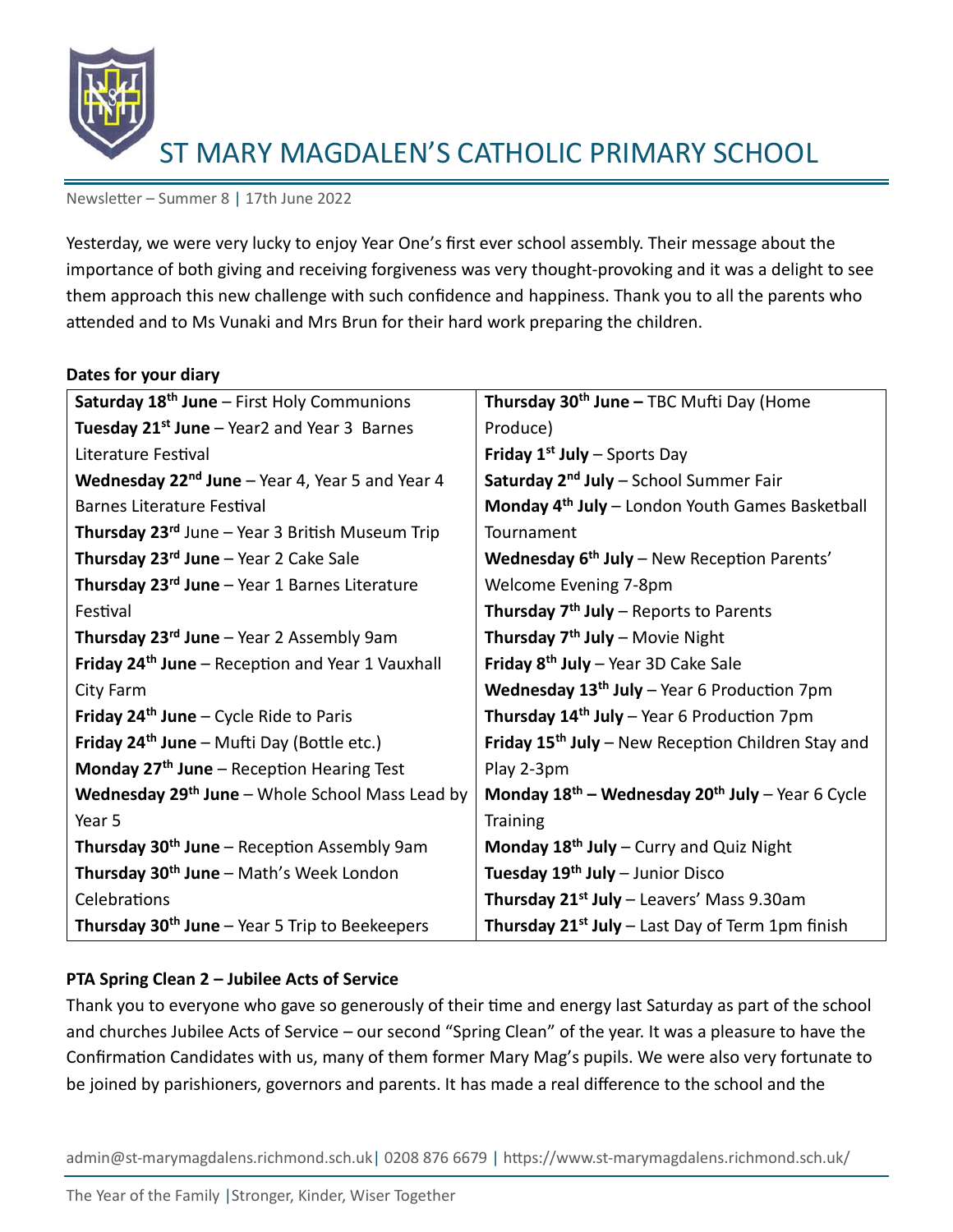

Newsletter – Summer 8 | 17th June 2022

Yesterday, we were very lucky to enjoy Year One's first ever school assembly. Their message about the importance of both giving and receiving forgiveness was very thought-provoking and it was a delight to see them approach this new challenge with such confidence and happiness. Thank you to all the parents who attended and to Ms Vunaki and Mrs Brun for their hard work preparing the children.

#### **Dates for your diary**

| Thursday 30 <sup>th</sup> June – TBC Mufti Day (Home           |
|----------------------------------------------------------------|
|                                                                |
| Produce)                                                       |
| <b>Friday 1st July - Sports Day</b>                            |
| Saturday 2 <sup>nd</sup> July - School Summer Fair             |
| Monday 4 <sup>th</sup> July - London Youth Games Basketball    |
| Tournament                                                     |
| Wednesday 6 <sup>th</sup> July - New Reception Parents'        |
| Welcome Evening 7-8pm                                          |
| Thursday 7 <sup>th</sup> July – Reports to Parents             |
| Thursday 7 <sup>th</sup> July - Movie Night                    |
| Friday $8th$ July – Year 3D Cake Sale                          |
| Wednesday 13 <sup>th</sup> July - Year 6 Production 7pm        |
| Thursday $14th$ July – Year 6 Production 7pm                   |
| Friday 15 <sup>th</sup> July - New Reception Children Stay and |
| Play 2-3pm                                                     |
| Monday $18^{th}$ – Wednesday $20^{th}$ July – Year 6 Cycle     |
| <b>Training</b>                                                |
| Monday $18th$ July – Curry and Quiz Night                      |
| Tuesday 19 <sup>th</sup> July - Junior Disco                   |
| Thursday 21 <sup>st</sup> July - Leavers' Mass 9.30am          |
| <b>Thursday 21st July</b> – Last Day of Term 1pm finish        |
|                                                                |

# **PTA Spring Clean 2 – Jubilee Acts of Service**

Thank you to everyone who gave so generously of their time and energy last Saturday as part of the school and churches Jubilee Acts of Service – our second "Spring Clean" of the year. It was a pleasure to have the Confirmation Candidates with us, many of them former Mary Mag's pupils. We were also very fortunate to be joined by parishioners, governors and parents. It has made a real difference to the school and the

admin@st-marymagdalens.richmond.sch.uk| 0208 876 6679 | https://www.st-marymagdalens.richmond.sch.uk/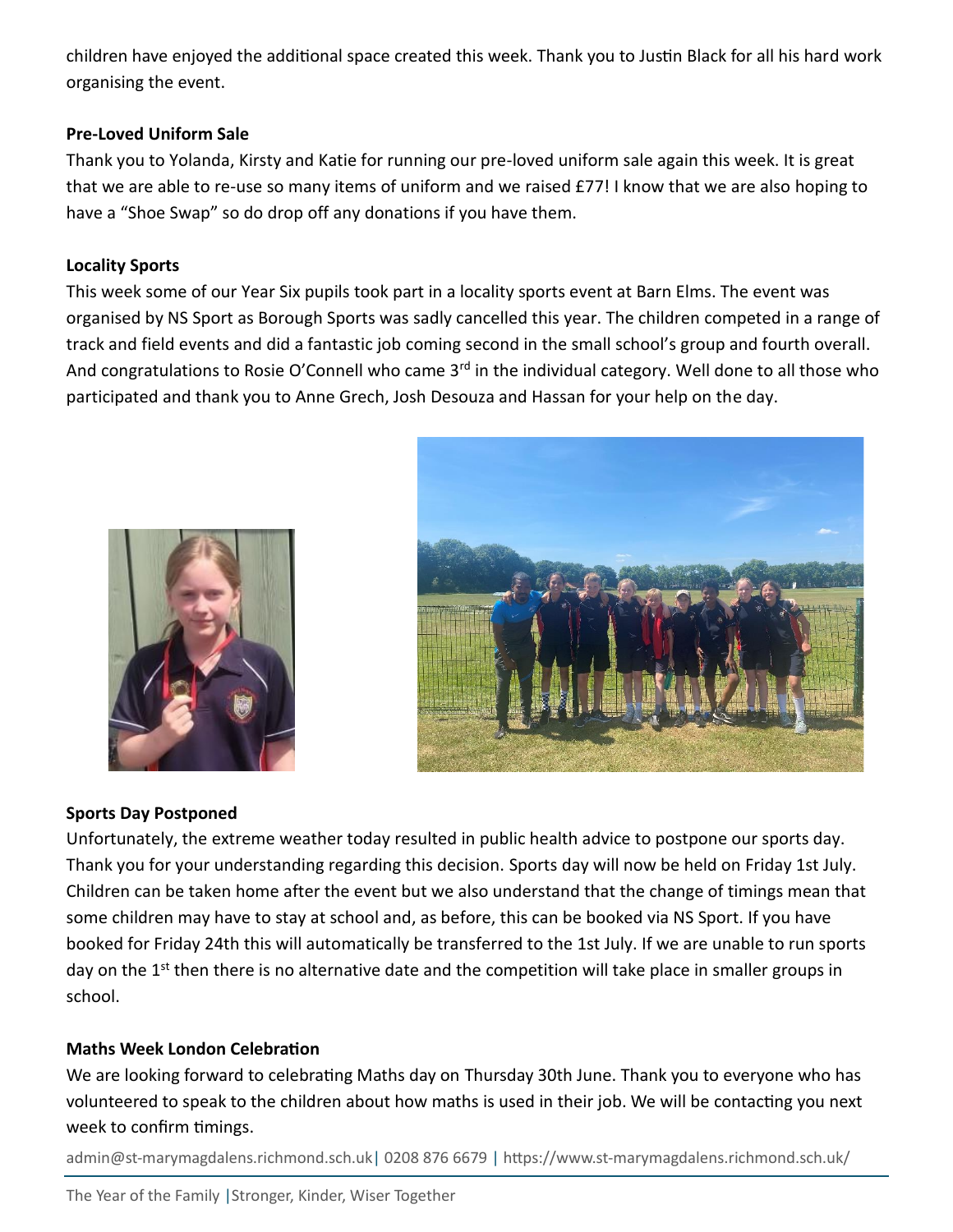children have enjoyed the additional space created this week. Thank you to Justin Black for all his hard work organising the event.

## **Pre-Loved Uniform Sale**

Thank you to Yolanda, Kirsty and Katie for running our pre-loved uniform sale again this week. It is great that we are able to re-use so many items of uniform and we raised £77! I know that we are also hoping to have a "Shoe Swap" so do drop off any donations if you have them.

## **Locality Sports**

This week some of our Year Six pupils took part in a locality sports event at Barn Elms. The event was organised by NS Sport as Borough Sports was sadly cancelled this year. The children competed in a range of track and field events and did a fantastic job coming second in the small school's group and fourth overall. And congratulations to Rosie O'Connell who came 3<sup>rd</sup> in the individual category. Well done to all those who participated and thank you to Anne Grech, Josh Desouza and Hassan for your help on the day.



# **Sports Day Postponed**

Unfortunately, the extreme weather today resulted in public health advice to postpone our sports day. Thank you for your understanding regarding this decision. Sports day will now be held on Friday 1st July. Children can be taken home after the event but we also understand that the change of timings mean that some children may have to stay at school and, as before, this can be booked via NS Sport. If you have booked for Friday 24th this will automatically be transferred to the 1st July. If we are unable to run sports day on the 1<sup>st</sup> then there is no alternative date and the competition will take place in smaller groups in school.

# **Maths Week London Celebration**

We are looking forward to celebrating Maths day on Thursday 30th June. Thank you to everyone who has volunteered to speak to the children about how maths is used in their job. We will be contacting you next week to confirm timings.

admin@st-marymagdalens.richmond.sch.uk| 0208 876 6679 | https://www.st-marymagdalens.richmond.sch.uk/